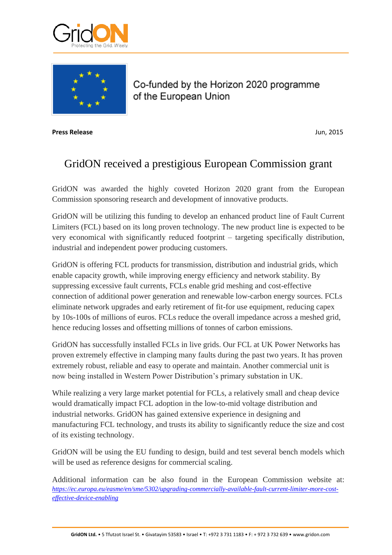



Co-funded by the Horizon 2020 programme of the European Union

**Press Release** Jun, 2015

## GridON received a prestigious European Commission grant

GridON was awarded the highly coveted Horizon 2020 grant from the European Commission sponsoring research and development of innovative products.

GridON will be utilizing this funding to develop an enhanced product line of Fault Current Limiters (FCL) based on its long proven technology. The new product line is expected to be very economical with significantly reduced footprint – targeting specifically distribution, industrial and independent power producing customers.

GridON is offering FCL products for transmission, distribution and industrial grids, which enable capacity growth, while improving energy efficiency and network stability. By suppressing excessive fault currents, FCLs enable grid meshing and cost-effective connection of additional power generation and renewable low-carbon energy sources. FCLs eliminate network upgrades and early retirement of fit-for use equipment, reducing capex by 10s-100s of millions of euros. FCLs reduce the overall impedance across a meshed grid, hence reducing losses and offsetting millions of tonnes of carbon emissions.

GridON has successfully installed FCLs in live grids. Our FCL at UK Power Networks has proven extremely effective in clamping many faults during the past two years. It has proven extremely robust, reliable and easy to operate and maintain. Another commercial unit is now being installed in Western Power Distribution's primary substation in UK.

While realizing a very large market potential for FCLs, a relatively small and cheap device would dramatically impact FCL adoption in the low-to-mid voltage distribution and industrial networks. GridON has gained extensive experience in designing and manufacturing FCL technology, and trusts its ability to significantly reduce the size and cost of its existing technology.

GridON will be using the EU funding to design, build and test several bench models which will be used as reference designs for commercial scaling.

Additional information can be also found in the European Commission website at: *[https://ec.europa.eu/easme/en/sme/5302/upgrading-commercially-available-fault-current-limiter-more-cost](https://ec.europa.eu/easme/en/sme/5302/upgrading-commercially-available-fault-current-limiter-more-cost-effective-device-enabling)[effective-device-enabling](https://ec.europa.eu/easme/en/sme/5302/upgrading-commercially-available-fault-current-limiter-more-cost-effective-device-enabling)*